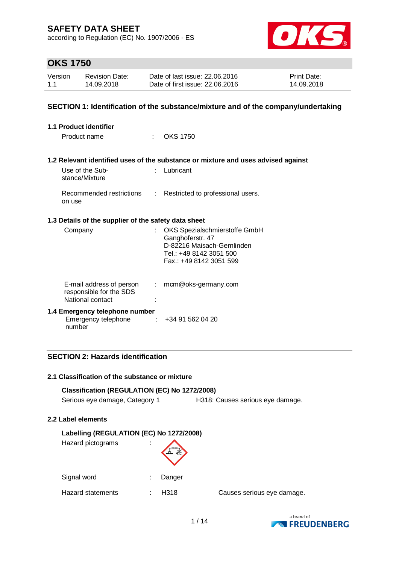according to Regulation (EC) No. 1907/2006 - ES



# **OKS 1750**

| Version | <b>Revision Date:</b> | Date of last issue: 22,06,2016  | <b>Print Date:</b> |
|---------|-----------------------|---------------------------------|--------------------|
| 1.1     | 14.09.2018            | Date of first issue: 22.06.2016 | 14.09.2018         |

### **SECTION 1: Identification of the substance/mixture and of the company/undertaking**

| <b>1.1 Product identifier</b>                                                |                                                                                                                                       |
|------------------------------------------------------------------------------|---------------------------------------------------------------------------------------------------------------------------------------|
| Product name<br>٠.                                                           | <b>OKS 1750</b>                                                                                                                       |
|                                                                              |                                                                                                                                       |
|                                                                              | 1.2 Relevant identified uses of the substance or mixture and uses advised against                                                     |
| Use of the Sub-<br>stance/Mixture                                            | Lubricant                                                                                                                             |
| Recommended restrictions<br>÷<br>on use                                      | Restricted to professional users.                                                                                                     |
| 1.3 Details of the supplier of the safety data sheet                         |                                                                                                                                       |
| Company                                                                      | OKS Spezialschmierstoffe GmbH<br>Ganghoferstr. 47<br>D-82216 Maisach-Gernlinden<br>Tel.: +49 8142 3051 500<br>Fax.: +49 8142 3051 599 |
| E-mail address of person<br>÷<br>responsible for the SDS<br>National contact | mcm@oks-germany.com                                                                                                                   |
| 1.4 Emergency telephone number<br>Emergency telephone<br>number              | +34 91 562 04 20                                                                                                                      |

### **SECTION 2: Hazards identification**

#### **2.1 Classification of the substance or mixture**

### **Classification (REGULATION (EC) No 1272/2008)**

Serious eye damage, Category 1 H318: Causes serious eye damage.

#### **2.2 Label elements**

#### **Labelling (REGULATION (EC) No 1272/2008)**

Hazard pictograms :



Hazard statements : H318 Causes serious eye damage.

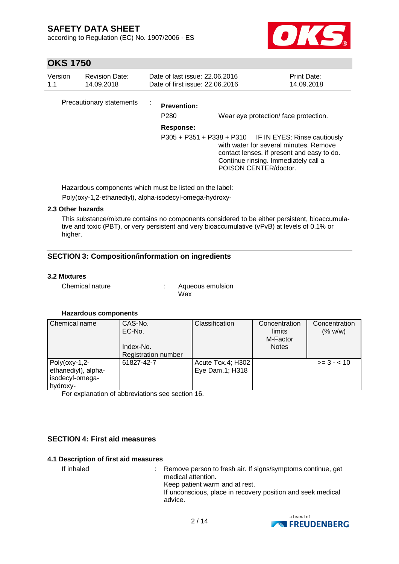according to Regulation (EC) No. 1907/2006 - ES



# **OKS 1750**

| Version<br>1.1 | <b>Revision Date:</b><br>14.09.2018 | Date of last issue: 22.06.2016<br>Date of first issue: 22.06.2016 |                                                                                                                                                                                                                                                         | Print Date:<br>14.09.2018 |
|----------------|-------------------------------------|-------------------------------------------------------------------|---------------------------------------------------------------------------------------------------------------------------------------------------------------------------------------------------------------------------------------------------------|---------------------------|
|                | Precautionary statements            | <b>Prevention:</b><br>P <sub>280</sub><br>Response:               | Wear eye protection/face protection.<br>P305 + P351 + P338 + P310 IF IN EYES: Rinse cautiously<br>with water for several minutes. Remove<br>contact lenses, if present and easy to do.<br>Continue rinsing. Immediately call a<br>POISON CENTER/doctor. |                           |

Hazardous components which must be listed on the label:

Poly(oxy-1,2-ethanediyl), alpha-isodecyl-omega-hydroxy-

### **2.3 Other hazards**

This substance/mixture contains no components considered to be either persistent, bioaccumulative and toxic (PBT), or very persistent and very bioaccumulative (vPvB) at levels of 0.1% or higher.

### **SECTION 3: Composition/information on ingredients**

#### **3.2 Mixtures**

Chemical nature : Aqueous emulsion Wax

#### **Hazardous components**

| Chemical name                                                          | CAS-No.<br>EC-No.<br>Index-No.<br><b>Registration number</b> | Classification                       | Concentration<br>limits<br>M-Factor<br><b>Notes</b> | Concentration<br>(% w/w) |
|------------------------------------------------------------------------|--------------------------------------------------------------|--------------------------------------|-----------------------------------------------------|--------------------------|
| $Poly($ oxy-1,2-<br>ethanediyl), alpha-<br>isodecyl-omega-<br>hydroxy- | 61827-42-7                                                   | Acute Tox.4; H302<br>Eye Dam.1; H318 |                                                     | $>= 3 - 10$              |

For explanation of abbreviations see section 16.

### **SECTION 4: First aid measures**

#### **4.1 Description of first aid measures**

If inhaled : Remove person to fresh air. If signs/symptoms continue, get medical attention. Keep patient warm and at rest. If unconscious, place in recovery position and seek medical advice.

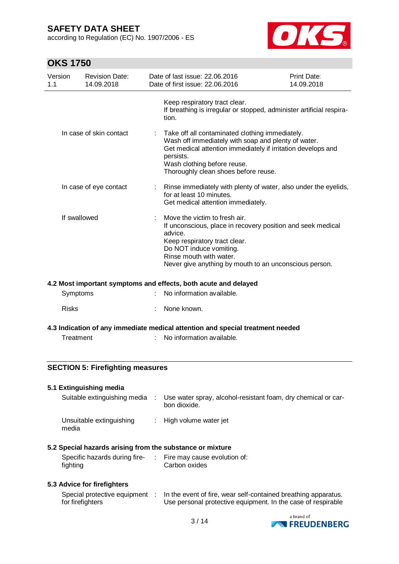according to Regulation (EC) No. 1907/2006 - ES



# **OKS 1750**

| Version<br>1.1         | <b>Revision Date:</b><br>14.09.2018 |                       | Date of last issue: 22.06.2016<br>Date of first issue: 22.06.2016                                                                                                                                                                                          | Print Date:<br>14.09.2018 |  |  |
|------------------------|-------------------------------------|-----------------------|------------------------------------------------------------------------------------------------------------------------------------------------------------------------------------------------------------------------------------------------------------|---------------------------|--|--|
|                        |                                     |                       | Keep respiratory tract clear.<br>If breathing is irregular or stopped, administer artificial respira-<br>tion.                                                                                                                                             |                           |  |  |
|                        | In case of skin contact             | $\mathbb{Z}^{\times}$ | Take off all contaminated clothing immediately.<br>Wash off immediately with soap and plenty of water.<br>Get medical attention immediately if irritation develops and<br>persists.<br>Wash clothing before reuse.<br>Thoroughly clean shoes before reuse. |                           |  |  |
| In case of eye contact |                                     |                       | Rinse immediately with plenty of water, also under the eyelids,<br>for at least 10 minutes.<br>Get medical attention immediately.                                                                                                                          |                           |  |  |
| If swallowed           |                                     |                       | Move the victim to fresh air.<br>If unconscious, place in recovery position and seek medical<br>advice.<br>Keep respiratory tract clear.<br>Do NOT induce vomiting.<br>Rinse mouth with water.<br>Never give anything by mouth to an unconscious person.   |                           |  |  |
|                        |                                     |                       | 4.2 Most important symptoms and effects, both acute and delayed                                                                                                                                                                                            |                           |  |  |
|                        | Symptoms                            |                       | No information available.                                                                                                                                                                                                                                  |                           |  |  |

Risks : None known.

### **4.3 Indication of any immediate medical attention and special treatment needed**

Treatment : No information available.

### **SECTION 5: Firefighting measures**

#### **5.1 Extinguishing media**

| Suitable extinguishing media      | Use water spray, alcohol-resistant foam, dry chemical or car-<br>bon dioxide. |
|-----------------------------------|-------------------------------------------------------------------------------|
| Unsuitable extinguishing<br>media | : High volume water jet                                                       |

#### **5.2 Special hazards arising from the substance or mixture**

| Specific hazards during fire- | Fire may cause evolution of: |
|-------------------------------|------------------------------|
| fighting                      | Carbon oxides                |

### **5.3 Advice for firefighters**

| Special protective equipment | In the event of fire, wear self-contained breathing apparatus. |
|------------------------------|----------------------------------------------------------------|
| for firefighters             | Use personal protective equipment. In the case of respirable   |

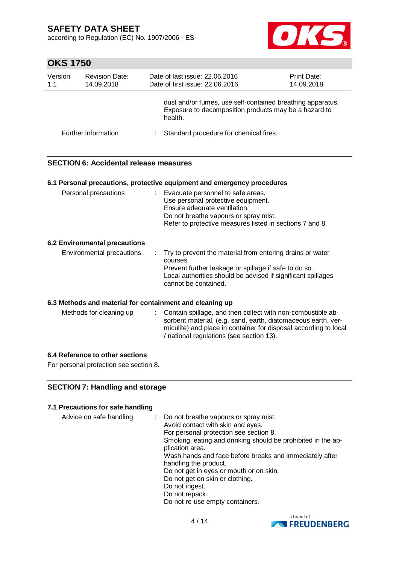according to Regulation (EC) No. 1907/2006 - ES



# **OKS 1750**

| Version<br>1.1 | <b>Revision Date:</b><br>14.09.2018 | Date of last issue: 22.06.2016<br>Date of first issue: 22.06.2016                                                              | Print Date:<br>14.09.2018 |
|----------------|-------------------------------------|--------------------------------------------------------------------------------------------------------------------------------|---------------------------|
|                |                                     | dust and/or fumes, use self-contained breathing apparatus.<br>Exposure to decomposition products may be a hazard to<br>health. |                           |
|                | Further information                 | Standard procedure for chemical fires.                                                                                         |                           |

### **SECTION 6: Accidental release measures**

|                               | 6.1 Personal precautions, protective equipment and emergency procedures                                                                                                                                                |
|-------------------------------|------------------------------------------------------------------------------------------------------------------------------------------------------------------------------------------------------------------------|
| Personal precautions          | : Evacuate personnel to safe areas.<br>Use personal protective equipment.<br>Ensure adequate ventilation.<br>Do not breathe vapours or spray mist.<br>Refer to protective measures listed in sections 7 and 8.         |
| 6.2 Environmental precautions |                                                                                                                                                                                                                        |
| Environmental precautions     | Try to prevent the material from entering drains or water<br>courses.<br>Prevent further leakage or spillage if safe to do so.<br>Local authorities should be advised if significant spillages<br>cannot be contained. |

#### **6.3 Methods and material for containment and cleaning up**

| Methods for cleaning up | : Contain spillage, and then collect with non-combustible ab-<br>sorbent material, (e.g. sand, earth, diatomaceous earth, ver- |
|-------------------------|--------------------------------------------------------------------------------------------------------------------------------|
|                         | miculite) and place in container for disposal according to local<br>/ national regulations (see section 13).                   |

#### **6.4 Reference to other sections**

For personal protection see section 8.

### **SECTION 7: Handling and storage**

### **7.1 Precautions for safe handling**

| Advice on safe handling |  | Do not breathe vapours or spray mist.<br>Avoid contact with skin and eyes.<br>For personal protection see section 8.<br>Smoking, eating and drinking should be prohibited in the ap-<br>plication area.<br>Wash hands and face before breaks and immediately after<br>handling the product.<br>Do not get in eyes or mouth or on skin.<br>Do not get on skin or clothing.<br>Do not ingest.<br>Do not repack.<br>Do not re-use empty containers. |
|-------------------------|--|--------------------------------------------------------------------------------------------------------------------------------------------------------------------------------------------------------------------------------------------------------------------------------------------------------------------------------------------------------------------------------------------------------------------------------------------------|
|-------------------------|--|--------------------------------------------------------------------------------------------------------------------------------------------------------------------------------------------------------------------------------------------------------------------------------------------------------------------------------------------------------------------------------------------------------------------------------------------------|

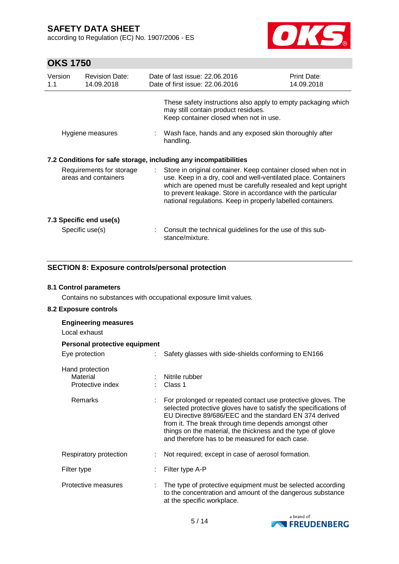according to Regulation (EC) No. 1907/2006 - ES



# **OKS 1750**

| Version<br>1.1 | <b>Revision Date:</b><br>14.09.2018              |    | Date of last issue: 22.06.2016<br>Date of first issue: 22.06.2016                                                                                                                                                                                                                                                              | <b>Print Date:</b><br>14.09.2018 |
|----------------|--------------------------------------------------|----|--------------------------------------------------------------------------------------------------------------------------------------------------------------------------------------------------------------------------------------------------------------------------------------------------------------------------------|----------------------------------|
|                |                                                  |    | These safety instructions also apply to empty packaging which<br>may still contain product residues.<br>Keep container closed when not in use.                                                                                                                                                                                 |                                  |
|                | Hygiene measures                                 |    | : Wash face, hands and any exposed skin thoroughly after<br>handling.                                                                                                                                                                                                                                                          |                                  |
|                |                                                  |    | 7.2 Conditions for safe storage, including any incompatibilities                                                                                                                                                                                                                                                               |                                  |
|                | Requirements for storage<br>areas and containers | ÷. | Store in original container. Keep container closed when not in<br>use. Keep in a dry, cool and well-ventilated place. Containers<br>which are opened must be carefully resealed and kept upright<br>to prevent leakage. Store in accordance with the particular<br>national regulations. Keep in properly labelled containers. |                                  |
|                | 7.3 Specific end use(s)                          |    |                                                                                                                                                                                                                                                                                                                                |                                  |
|                | Specific use(s)                                  |    | Consult the technical guidelines for the use of this sub-<br>stance/mixture.                                                                                                                                                                                                                                                   |                                  |

### **SECTION 8: Exposure controls/personal protection**

#### **8.1 Control parameters**

Contains no substances with occupational exposure limit values.

### **8.2 Exposure controls**

| <b>Engineering measures</b><br>Local exhaust    |                                                                                                                                                                                                                                                                                                                                                                        |  |  |  |  |  |
|-------------------------------------------------|------------------------------------------------------------------------------------------------------------------------------------------------------------------------------------------------------------------------------------------------------------------------------------------------------------------------------------------------------------------------|--|--|--|--|--|
| Personal protective equipment                   |                                                                                                                                                                                                                                                                                                                                                                        |  |  |  |  |  |
| Eye protection                                  | Safety glasses with side-shields conforming to EN166                                                                                                                                                                                                                                                                                                                   |  |  |  |  |  |
| Hand protection<br>Material<br>Protective index | Nitrile rubber<br>$\therefore$ Class 1                                                                                                                                                                                                                                                                                                                                 |  |  |  |  |  |
| Remarks                                         | For prolonged or repeated contact use protective gloves. The<br>selected protective gloves have to satisfy the specifications of<br>EU Directive 89/686/EEC and the standard EN 374 derived<br>from it. The break through time depends amongst other<br>things on the material, the thickness and the type of glove<br>and therefore has to be measured for each case. |  |  |  |  |  |
| Respiratory protection                          | Not required; except in case of aerosol formation.                                                                                                                                                                                                                                                                                                                     |  |  |  |  |  |
| Filter type                                     | Filter type A-P                                                                                                                                                                                                                                                                                                                                                        |  |  |  |  |  |
| Protective measures                             | The type of protective equipment must be selected according<br>to the concentration and amount of the dangerous substance<br>at the specific workplace.                                                                                                                                                                                                                |  |  |  |  |  |

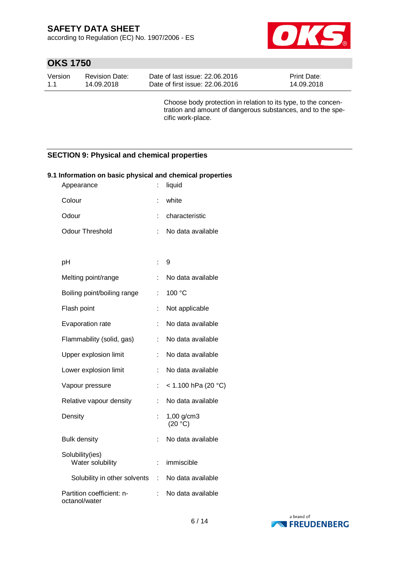according to Regulation (EC) No. 1907/2006 - ES



# **OKS 1750**

| Version | <b>Revision Date:</b> | Date of last issue: 22,06,2016  | <b>Print Date:</b> |
|---------|-----------------------|---------------------------------|--------------------|
| 1.1     | 14.09.2018            | Date of first issue: 22,06,2016 | 14.09.2018         |

Choose body protection in relation to its type, to the concentration and amount of dangerous substances, and to the specific work-place.

### **SECTION 9: Physical and chemical properties**

| . I imormation on basic priysical and chemical properties<br>Appearance | t.                    | liquid                |
|-------------------------------------------------------------------------|-----------------------|-----------------------|
| Colour                                                                  | t                     | white                 |
| Odour                                                                   |                       | characteristic        |
| <b>Odour Threshold</b>                                                  | t                     | No data available     |
|                                                                         |                       |                       |
| pH                                                                      | t                     | 9                     |
| Melting point/range                                                     |                       | No data available     |
| Boiling point/boiling range                                             | t                     | 100 °C                |
| Flash point                                                             | t                     | Not applicable        |
| Evaporation rate                                                        |                       | No data available     |
| Flammability (solid, gas)                                               | t                     | No data available     |
| Upper explosion limit                                                   |                       | No data available     |
| Lower explosion limit                                                   | t                     | No data available     |
| Vapour pressure                                                         | t                     | < 1.100 hPa (20 °C)   |
| Relative vapour density                                                 | t                     | No data available     |
| Density                                                                 |                       | 1,00 g/cm3<br>(20 °C) |
| <b>Bulk density</b>                                                     | t                     | No data available     |
| Solubility(ies)<br>Water solubility                                     | t.                    | immiscible            |
| Solubility in other solvents                                            | $\mathbb{Z}^{\times}$ | No data available     |
| Partition coefficient: n-<br>octanol/water                              | t                     | No data available     |

# **9.1 Information on basic physical and chemical properties**

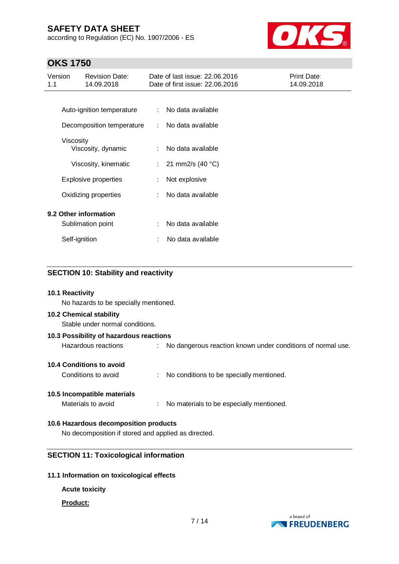according to Regulation (EC) No. 1907/2006 - ES



# **OKS 1750**

| Version<br>1.1 |                      | <b>Revision Date:</b><br>14.09.2018 |    | Date of last issue: 22.06.2016<br>Date of first issue: 22.06.2016 | Print Date:<br>14.09.2018 |
|----------------|----------------------|-------------------------------------|----|-------------------------------------------------------------------|---------------------------|
|                |                      |                                     |    |                                                                   |                           |
|                |                      | Auto-ignition temperature           | ÷  | No data available                                                 |                           |
|                |                      | Decomposition temperature           | ÷  | No data available                                                 |                           |
|                | Viscosity            |                                     |    |                                                                   |                           |
|                |                      | Viscosity, dynamic                  | ÷  | No data available                                                 |                           |
|                |                      | Viscosity, kinematic                | ÷. | 21 mm2/s (40 °C)                                                  |                           |
|                |                      | Explosive properties                |    | Not explosive                                                     |                           |
|                | Oxidizing properties |                                     |    | No data available                                                 |                           |
|                |                      | 9.2 Other information               |    |                                                                   |                           |
|                |                      | Sublimation point                   | ÷  | No data available                                                 |                           |
|                | Self-ignition        |                                     | ÷  | No data available                                                 |                           |

| <b>SECTION 10: Stability and reactivity</b> |                                                               |
|---------------------------------------------|---------------------------------------------------------------|
| 10.1 Reactivity                             |                                                               |
| No hazards to be specially mentioned.       |                                                               |
| <b>10.2 Chemical stability</b>              |                                                               |
| Stable under normal conditions.             |                                                               |
| 10.3 Possibility of hazardous reactions     |                                                               |
| Hazardous reactions                         | : No dangerous reaction known under conditions of normal use. |
| 10.4 Conditions to avoid                    |                                                               |
| Conditions to avoid                         | : No conditions to be specially mentioned.                    |
| 10.5 Incompatible materials                 |                                                               |
| Materials to avoid                          | : No materials to be especially mentioned.                    |
| 10.6 Hazardous decomposition products       |                                                               |
|                                             |                                                               |

No decomposition if stored and applied as directed.

## **SECTION 11: Toxicological information**

### **11.1 Information on toxicological effects**

**Acute toxicity**

#### **Product:**

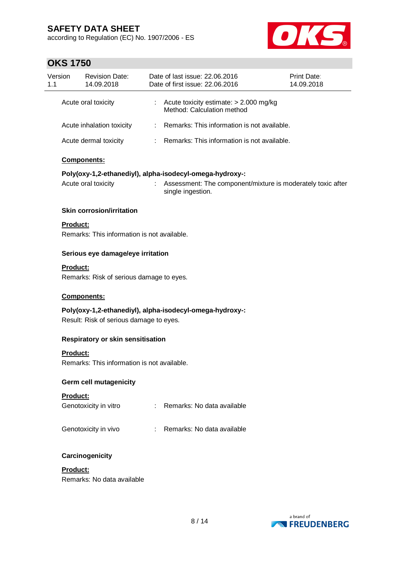according to Regulation (EC) No. 1907/2006 - ES



# **OKS 1750**

|                | <b>OKS 1750</b> |                                             |    |                                                                                                                                              |                           |
|----------------|-----------------|---------------------------------------------|----|----------------------------------------------------------------------------------------------------------------------------------------------|---------------------------|
| Version<br>1.1 |                 | <b>Revision Date:</b><br>14.09.2018         |    | Date of last issue: 22.06.2016<br>Date of first issue: 22.06.2016                                                                            | Print Date:<br>14.09.2018 |
|                |                 | Acute oral toxicity                         | ÷. | Acute toxicity estimate: > 2.000 mg/kg<br>Method: Calculation method                                                                         |                           |
|                |                 | Acute inhalation toxicity                   | t. | Remarks: This information is not available.                                                                                                  |                           |
|                |                 | Acute dermal toxicity                       |    | : Remarks: This information is not available.                                                                                                |                           |
|                |                 | Components:                                 |    |                                                                                                                                              |                           |
|                |                 |                                             |    |                                                                                                                                              |                           |
|                |                 | Acute oral toxicity                         | t. | Poly(oxy-1,2-ethanediyl), alpha-isodecyl-omega-hydroxy-:<br>Assessment: The component/mixture is moderately toxic after<br>single ingestion. |                           |
|                |                 | <b>Skin corrosion/irritation</b>            |    |                                                                                                                                              |                           |
|                | Product:        | Remarks: This information is not available. |    |                                                                                                                                              |                           |
|                |                 | Serious eye damage/eye irritation           |    |                                                                                                                                              |                           |
|                | Product:        |                                             |    |                                                                                                                                              |                           |
|                |                 | Remarks: Risk of serious damage to eyes.    |    |                                                                                                                                              |                           |
|                |                 |                                             |    |                                                                                                                                              |                           |
|                |                 | Components:                                 |    |                                                                                                                                              |                           |
|                |                 | Result: Risk of serious damage to eyes.     |    | Poly(oxy-1,2-ethanediyl), alpha-isodecyl-omega-hydroxy-:                                                                                     |                           |
|                |                 |                                             |    |                                                                                                                                              |                           |
|                |                 | <b>Respiratory or skin sensitisation</b>    |    |                                                                                                                                              |                           |
|                | Product:        |                                             |    |                                                                                                                                              |                           |
|                |                 | Remarks: This information is not available. |    |                                                                                                                                              |                           |
|                |                 | <b>Germ cell mutagenicity</b>               |    |                                                                                                                                              |                           |
|                | Product:        |                                             |    |                                                                                                                                              |                           |
|                |                 | Genotoxicity in vitro                       |    | : Remarks: No data available                                                                                                                 |                           |
|                |                 | Genotoxicity in vivo                        |    | : Remarks: No data available                                                                                                                 |                           |
|                |                 | Carcinogenicity                             |    |                                                                                                                                              |                           |
|                | Product:        |                                             |    |                                                                                                                                              |                           |
|                |                 | Remarks: No data available                  |    |                                                                                                                                              |                           |
|                |                 |                                             |    |                                                                                                                                              |                           |

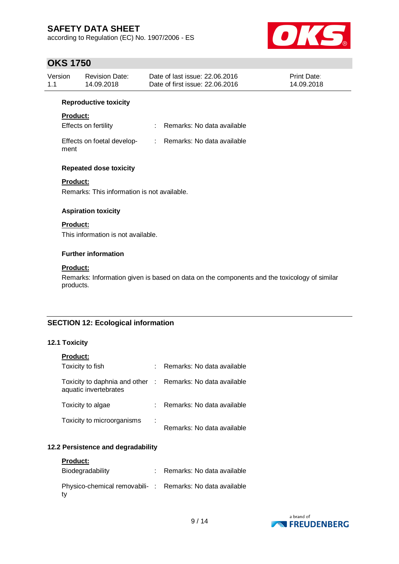according to Regulation (EC) No. 1907/2006 - ES



# **OKS 1750**

| Version | <b>Revision Date:</b> | Date of last issue: 22.06.2016  | <b>Print Date:</b> |
|---------|-----------------------|---------------------------------|--------------------|
| 1.1     | 14.09.2018            | Date of first issue: 22,06,2016 | 14.09.2018         |
|         |                       |                                 |                    |

#### **Reproductive toxicity**

### **Product:**

| <b>Effects on fertility</b> |  | Remarks: No data available |
|-----------------------------|--|----------------------------|
|-----------------------------|--|----------------------------|

| Effects on foetal develop- | Remarks: No data available |
|----------------------------|----------------------------|
| ment                       |                            |

### **Repeated dose toxicity**

### **Product:**

Remarks: This information is not available.

#### **Aspiration toxicity**

### **Product:**

This information is not available.

#### **Further information**

#### **Product:**

Remarks: Information given is based on data on the components and the toxicology of similar products.

### **SECTION 12: Ecological information**

#### **12.1 Toxicity**

| <b>Product:</b>                                                                     |   |                            |
|-------------------------------------------------------------------------------------|---|----------------------------|
| Toxicity to fish                                                                    |   | Remarks: No data available |
| Toxicity to daphnia and other : Remarks: No data available<br>aquatic invertebrates |   |                            |
| Toxicity to algae                                                                   |   | Remarks: No data available |
| Toxicity to microorganisms                                                          | ÷ | Remarks: No data available |

### **12.2 Persistence and degradability**

| <b>Product:</b>                                                |                            |
|----------------------------------------------------------------|----------------------------|
| Biodegradability                                               | Remarks: No data available |
| Physico-chemical removabili-: Remarks: No data available<br>tv |                            |

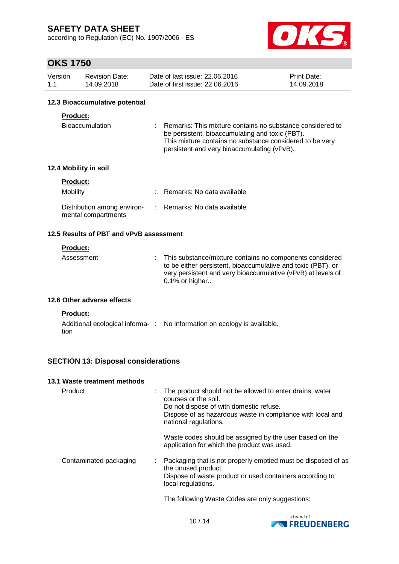according to Regulation (EC) No. 1907/2006 - ES



# **OKS 1750**

| Version | <b>Revision Date:</b> | Date of last issue: 22,06,2016  | <b>Print Date:</b> |
|---------|-----------------------|---------------------------------|--------------------|
| 1.1     | 14.09.2018            | Date of first issue: 22,06,2016 | 14.09.2018         |

#### **12.3 Bioaccumulative potential**

### **Product:**

| Bioaccumulation | Remarks: This mixture contains no substance considered to |
|-----------------|-----------------------------------------------------------|
|                 | be persistent, bioaccumulating and toxic (PBT).           |
|                 | This mixture contains no substance considered to be very  |
|                 | persistent and very bioaccumulating (vPvB).               |

### **12.4 Mobility in soil**

| <b>Product:</b>                                    |                              |
|----------------------------------------------------|------------------------------|
| Mobility                                           | : Remarks: No data available |
| Distribution among environ-<br>mental compartments | : Remarks: No data available |

### **12.5 Results of PBT and vPvB assessment**

#### **Product:**

| Assessment | : This substance/mixture contains no components considered<br>to be either persistent, bioaccumulative and toxic (PBT), or<br>very persistent and very bioaccumulative (vPvB) at levels of<br>$0.1\%$ or higher |
|------------|-----------------------------------------------------------------------------------------------------------------------------------------------------------------------------------------------------------------|
|            |                                                                                                                                                                                                                 |

#### **12.6 Other adverse effects**

#### **Product:**

|      | Additional ecological informa-: No information on ecology is available. |
|------|-------------------------------------------------------------------------|
| tion |                                                                         |

### **SECTION 13: Disposal considerations**

#### **13.1 Waste treatment methods**

| Product                | : The product should not be allowed to enter drains, water<br>courses or the soil.<br>Do not dispose of with domestic refuse.<br>Dispose of as hazardous waste in compliance with local and<br>national regulations. |
|------------------------|----------------------------------------------------------------------------------------------------------------------------------------------------------------------------------------------------------------------|
|                        | Waste codes should be assigned by the user based on the<br>application for which the product was used.                                                                                                               |
| Contaminated packaging | : Packaging that is not properly emptied must be disposed of as<br>the unused product.<br>Dispose of waste product or used containers according to<br>local regulations.                                             |
|                        | The following Waste Codes are only suggestions:                                                                                                                                                                      |

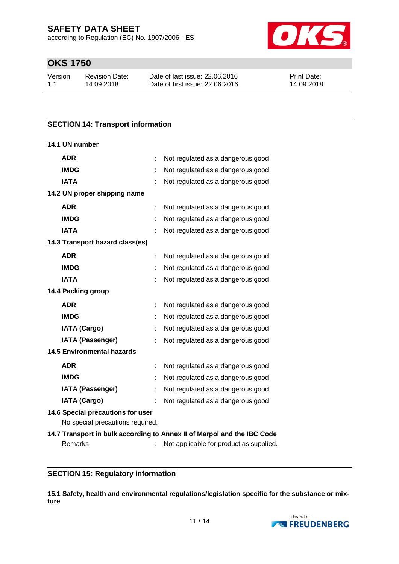according to Regulation (EC) No. 1907/2006 - ES



# **OKS 1750**

| Version | <b>Revision Date:</b> | Date of last issue: 22,06,2016  | <b>Print Date:</b> |
|---------|-----------------------|---------------------------------|--------------------|
| 1.1     | 14.09.2018            | Date of first issue: 22,06,2016 | 14.09.2018         |

### **SECTION 14: Transport information**

#### **14.1 UN number**

| <b>ADR</b>                                                            | Not regulated as a dangerous good                                       |  |
|-----------------------------------------------------------------------|-------------------------------------------------------------------------|--|
| <b>IMDG</b>                                                           | Not regulated as a dangerous good                                       |  |
| <b>IATA</b>                                                           | Not regulated as a dangerous good                                       |  |
| 14.2 UN proper shipping name                                          |                                                                         |  |
| <b>ADR</b>                                                            | Not regulated as a dangerous good                                       |  |
| <b>IMDG</b>                                                           | Not regulated as a dangerous good                                       |  |
| <b>IATA</b>                                                           | Not regulated as a dangerous good                                       |  |
| 14.3 Transport hazard class(es)                                       |                                                                         |  |
| <b>ADR</b>                                                            | Not regulated as a dangerous good                                       |  |
| <b>IMDG</b>                                                           | Not regulated as a dangerous good                                       |  |
| <b>IATA</b>                                                           | Not regulated as a dangerous good                                       |  |
| 14.4 Packing group                                                    |                                                                         |  |
| <b>ADR</b>                                                            | Not regulated as a dangerous good                                       |  |
| <b>IMDG</b>                                                           | Not regulated as a dangerous good                                       |  |
| <b>IATA (Cargo)</b>                                                   | Not regulated as a dangerous good                                       |  |
| <b>IATA (Passenger)</b>                                               | Not regulated as a dangerous good                                       |  |
| <b>14.5 Environmental hazards</b>                                     |                                                                         |  |
| <b>ADR</b>                                                            | Not regulated as a dangerous good                                       |  |
| <b>IMDG</b>                                                           | Not regulated as a dangerous good                                       |  |
| <b>IATA (Passenger)</b>                                               | Not regulated as a dangerous good                                       |  |
| <b>IATA (Cargo)</b>                                                   | Not regulated as a dangerous good                                       |  |
| 14.6 Special precautions for user<br>No special precautions required. |                                                                         |  |
|                                                                       | 14.7 Transport in bulk according to Annex II of Marpol and the IBC Code |  |
| Remarks                                                               | Not applicable for product as supplied.                                 |  |

### **SECTION 15: Regulatory information**

**15.1 Safety, health and environmental regulations/legislation specific for the substance or mixture**

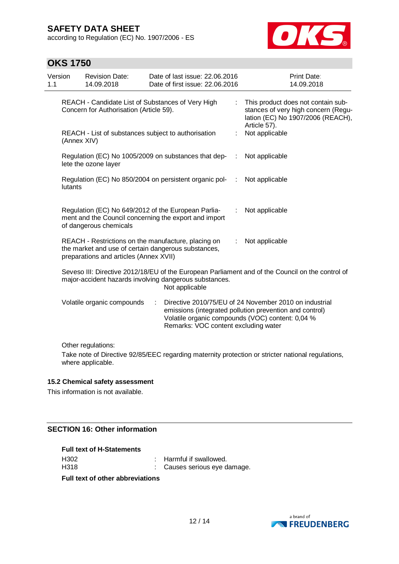according to Regulation (EC) No. 1907/2006 - ES



# **OKS 1750**

| Version<br>1.1 |             | <b>Revision Date:</b><br>14.09.2018                                                                                                                  |   | Date of last issue: 22.06.2016<br>Date of first issue: 22.06.2016        |   | <b>Print Date:</b><br>14.09.2018                                                                                                                                      |
|----------------|-------------|------------------------------------------------------------------------------------------------------------------------------------------------------|---|--------------------------------------------------------------------------|---|-----------------------------------------------------------------------------------------------------------------------------------------------------------------------|
|                |             | REACH - Candidate List of Substances of Very High<br>Concern for Authorisation (Article 59).                                                         |   |                                                                          | ÷ | This product does not contain sub-<br>stances of very high concern (Regu-<br>lation (EC) No 1907/2006 (REACH),<br>Article 57).                                        |
|                | (Annex XIV) | REACH - List of substances subject to authorisation                                                                                                  |   |                                                                          |   | Not applicable                                                                                                                                                        |
|                |             | lete the ozone layer                                                                                                                                 |   | Regulation (EC) No 1005/2009 on substances that dep-                     | ÷ | Not applicable                                                                                                                                                        |
|                | lutants     |                                                                                                                                                      |   | Regulation (EC) No 850/2004 on persistent organic pol-                   | ÷ | Not applicable                                                                                                                                                        |
|                |             | Regulation (EC) No 649/2012 of the European Parlia-<br>of dangerous chemicals                                                                        |   | ment and the Council concerning the export and import                    |   | Not applicable                                                                                                                                                        |
|                |             | REACH - Restrictions on the manufacture, placing on<br>the market and use of certain dangerous substances,<br>preparations and articles (Annex XVII) |   |                                                                          | ÷ | Not applicable                                                                                                                                                        |
|                |             |                                                                                                                                                      |   | major-accident hazards involving dangerous substances.<br>Not applicable |   | Seveso III: Directive 2012/18/EU of the European Parliament and of the Council on the control of                                                                      |
|                |             | Volatile organic compounds                                                                                                                           | ÷ | Remarks: VOC content excluding water                                     |   | Directive 2010/75/EU of 24 November 2010 on industrial<br>emissions (integrated pollution prevention and control)<br>Volatile organic compounds (VOC) content: 0,04 % |
|                |             | Other regulations:                                                                                                                                   |   |                                                                          |   |                                                                                                                                                                       |
|                |             | where applicable.                                                                                                                                    |   |                                                                          |   | Take note of Directive 92/85/EEC regarding maternity protection or stricter national regulations,                                                                     |
|                |             | 15.2 Chemical safety assessment                                                                                                                      |   |                                                                          |   |                                                                                                                                                                       |
|                |             | This information is not available.                                                                                                                   |   |                                                                          |   |                                                                                                                                                                       |

### **SECTION 16: Other information**

#### **Full text of H-Statements**

| <b>Full text of other abbreviations</b> |                              |
|-----------------------------------------|------------------------------|
| H318                                    | : Causes serious eye damage. |
| H302                                    | : Harmful if swallowed.      |

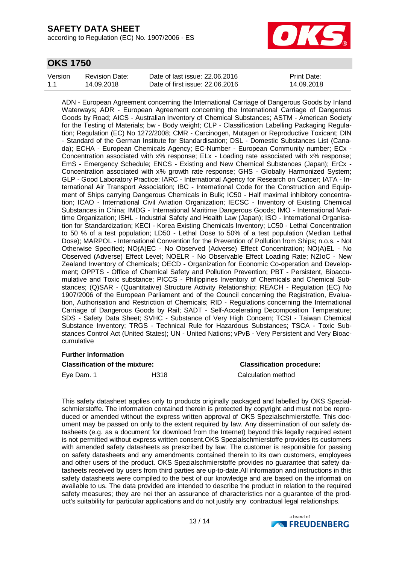according to Regulation (EC) No. 1907/2006 - ES



# **OKS 1750**

| Version | Revision Date: | Date of last issue: 22.06.2016  | Print Date: |
|---------|----------------|---------------------------------|-------------|
| 1.1     | 14.09.2018     | Date of first issue: 22,06,2016 | 14.09.2018  |

ADN - European Agreement concerning the International Carriage of Dangerous Goods by Inland Waterways; ADR - European Agreement concerning the International Carriage of Dangerous Goods by Road; AICS - Australian Inventory of Chemical Substances; ASTM - American Society for the Testing of Materials; bw - Body weight; CLP - Classification Labelling Packaging Regulation; Regulation (EC) No 1272/2008; CMR - Carcinogen, Mutagen or Reproductive Toxicant; DIN - Standard of the German Institute for Standardisation; DSL - Domestic Substances List (Canada); ECHA - European Chemicals Agency; EC-Number - European Community number; ECx - Concentration associated with x% response; ELx - Loading rate associated with x% response; EmS - Emergency Schedule; ENCS - Existing and New Chemical Substances (Japan); ErCx - Concentration associated with x% growth rate response; GHS - Globally Harmonized System; GLP - Good Laboratory Practice; IARC - International Agency for Research on Cancer; IATA - International Air Transport Association; IBC - International Code for the Construction and Equipment of Ships carrying Dangerous Chemicals in Bulk; IC50 - Half maximal inhibitory concentration; ICAO - International Civil Aviation Organization; IECSC - Inventory of Existing Chemical Substances in China; IMDG - International Maritime Dangerous Goods; IMO - International Maritime Organization; ISHL - Industrial Safety and Health Law (Japan); ISO - International Organisation for Standardization; KECI - Korea Existing Chemicals Inventory; LC50 - Lethal Concentration to 50 % of a test population; LD50 - Lethal Dose to 50% of a test population (Median Lethal Dose); MARPOL - International Convention for the Prevention of Pollution from Ships; n.o.s. - Not Otherwise Specified; NO(A)EC - No Observed (Adverse) Effect Concentration; NO(A)EL - No Observed (Adverse) Effect Level; NOELR - No Observable Effect Loading Rate; NZIoC - New Zealand Inventory of Chemicals; OECD - Organization for Economic Co-operation and Development; OPPTS - Office of Chemical Safety and Pollution Prevention; PBT - Persistent, Bioaccumulative and Toxic substance; PICCS - Philippines Inventory of Chemicals and Chemical Substances; (Q)SAR - (Quantitative) Structure Activity Relationship; REACH - Regulation (EC) No 1907/2006 of the European Parliament and of the Council concerning the Registration, Evaluation, Authorisation and Restriction of Chemicals; RID - Regulations concerning the International Carriage of Dangerous Goods by Rail; SADT - Self-Accelerating Decomposition Temperature; SDS - Safety Data Sheet; SVHC - Substance of Very High Concern; TCSI - Taiwan Chemical Substance Inventory; TRGS - Technical Rule for Hazardous Substances; TSCA - Toxic Substances Control Act (United States); UN - United Nations; vPvB - Very Persistent and Very Bioaccumulative

#### **Further information**

| <b>Classification of the mixture:</b> |      | <b>Classification procedure:</b> |  |  |
|---------------------------------------|------|----------------------------------|--|--|
| Eye Dam. 1                            | H318 | Calculation method               |  |  |

This safety datasheet applies only to products originally packaged and labelled by OKS Spezialschmierstoffe. The information contained therein is protected by copyright and must not be reproduced or amended without the express written approval of OKS Spezialschmierstoffe. This document may be passed on only to the extent required by law. Any dissemination of our safety datasheets (e.g. as a document for download from the Internet) beyond this legally required extent is not permitted without express written consent.OKS Spezialschmierstoffe provides its customers with amended safety datasheets as prescribed by law. The customer is responsible for passing on safety datasheets and any amendments contained therein to its own customers, employees and other users of the product. OKS Spezialschmierstoffe provides no guarantee that safety datasheets received by users from third parties are up-to-date.All information and instructions in this safety datasheets were compiled to the best of our knowledge and are based on the informati on available to us. The data provided are intended to describe the product in relation to the required safety measures; they are nei ther an assurance of characteristics nor a guarantee of the product's suitability for particular applications and do not justify any contractual legal relationships.